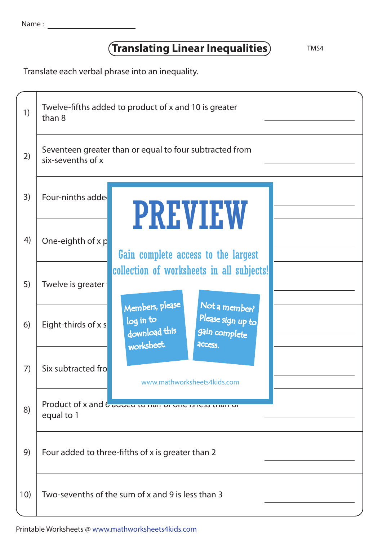## **Translating Linear Inequalities** TMS4

Translate each verbal phrase into an inequality.

| 1)  | Twelve-fifths added to product of x and 10 is greater<br>than 8 |                                                                                                                                                                                                                                                                    |  |
|-----|-----------------------------------------------------------------|--------------------------------------------------------------------------------------------------------------------------------------------------------------------------------------------------------------------------------------------------------------------|--|
| 2)  | six-sevenths of x                                               | Seventeen greater than or equal to four subtracted from                                                                                                                                                                                                            |  |
| 3)  | Four-ninths adde                                                | <b>PREVIEW</b><br>Gain complete access to the largest<br>collection of worksheets in all subjects!<br>Members, please<br>Not a member?<br>Please sign up to<br>log in to<br>download this<br>gain complete<br>worksheet.<br>access.<br>www.mathworksheets4kids.com |  |
| 4)  | One-eighth of $x p$                                             |                                                                                                                                                                                                                                                                    |  |
| 5)  | Twelve is greater                                               |                                                                                                                                                                                                                                                                    |  |
| 6)  | Eight-thirds of $x s$                                           |                                                                                                                                                                                                                                                                    |  |
| 7)  | Six subtracted fro                                              |                                                                                                                                                                                                                                                                    |  |
| 8)  | equal to 1                                                      | Product of x and $b$ auueu to nan or one as tess than or                                                                                                                                                                                                           |  |
| 9)  | Four added to three-fifths of x is greater than 2               |                                                                                                                                                                                                                                                                    |  |
| 10) | Two-sevenths of the sum of x and 9 is less than 3               |                                                                                                                                                                                                                                                                    |  |